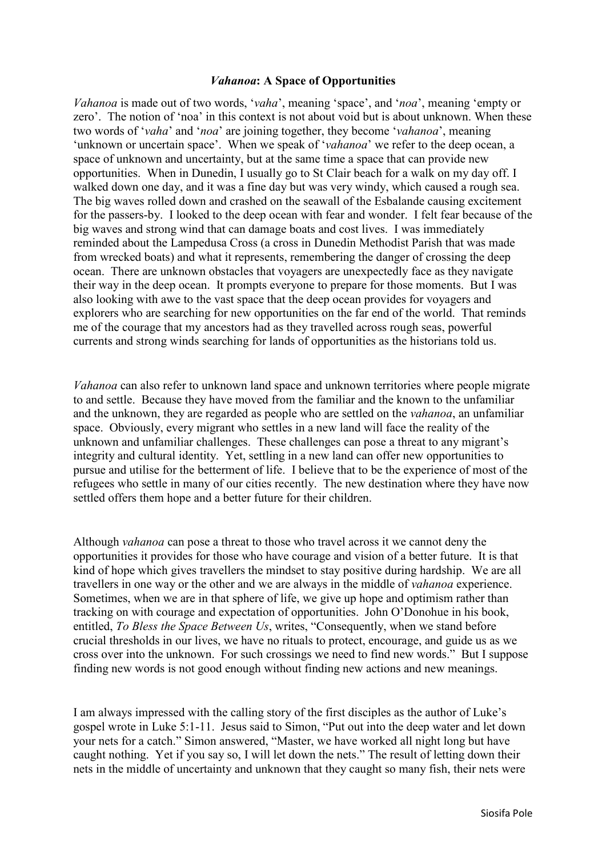## *Vahanoa***: A Space of Opportunities**

*Vahanoa* is made out of two words, '*vaha*', meaning 'space', and '*noa*', meaning 'empty or zero'. The notion of 'noa' in this context is not about void but is about unknown. When these two words of '*vaha*' and '*noa*' are joining together, they become '*vahanoa*', meaning 'unknown or uncertain space'. When we speak of '*vahanoa*' we refer to the deep ocean, a space of unknown and uncertainty, but at the same time a space that can provide new opportunities. When in Dunedin, I usually go to St Clair beach for a walk on my day off. I walked down one day, and it was a fine day but was very windy, which caused a rough sea. The big waves rolled down and crashed on the seawall of the Esbalande causing excitement for the passers-by. I looked to the deep ocean with fear and wonder. I felt fear because of the big waves and strong wind that can damage boats and cost lives. I was immediately reminded about the Lampedusa Cross (a cross in Dunedin Methodist Parish that was made from wrecked boats) and what it represents, remembering the danger of crossing the deep ocean. There are unknown obstacles that voyagers are unexpectedly face as they navigate their way in the deep ocean. It prompts everyone to prepare for those moments. But I was also looking with awe to the vast space that the deep ocean provides for voyagers and explorers who are searching for new opportunities on the far end of the world. That reminds me of the courage that my ancestors had as they travelled across rough seas, powerful currents and strong winds searching for lands of opportunities as the historians told us.

*Vahanoa* can also refer to unknown land space and unknown territories where people migrate to and settle. Because they have moved from the familiar and the known to the unfamiliar and the unknown, they are regarded as people who are settled on the *vahanoa*, an unfamiliar space. Obviously, every migrant who settles in a new land will face the reality of the unknown and unfamiliar challenges. These challenges can pose a threat to any migrant's integrity and cultural identity. Yet, settling in a new land can offer new opportunities to pursue and utilise for the betterment of life. I believe that to be the experience of most of the refugees who settle in many of our cities recently. The new destination where they have now settled offers them hope and a better future for their children.

Although *vahanoa* can pose a threat to those who travel across it we cannot deny the opportunities it provides for those who have courage and vision of a better future. It is that kind of hope which gives travellers the mindset to stay positive during hardship. We are all travellers in one way or the other and we are always in the middle of *vahanoa* experience. Sometimes, when we are in that sphere of life, we give up hope and optimism rather than tracking on with courage and expectation of opportunities. John O'Donohue in his book, entitled, *To Bless the Space Between Us*, writes, "Consequently, when we stand before crucial thresholds in our lives, we have no rituals to protect, encourage, and guide us as we cross over into the unknown. For such crossings we need to find new words." But I suppose finding new words is not good enough without finding new actions and new meanings.

I am always impressed with the calling story of the first disciples as the author of Luke's gospel wrote in Luke 5:1-11. Jesus said to Simon, "Put out into the deep water and let down your nets for a catch." Simon answered, "Master, we have worked all night long but have caught nothing. Yet if you say so, I will let down the nets." The result of letting down their nets in the middle of uncertainty and unknown that they caught so many fish, their nets were